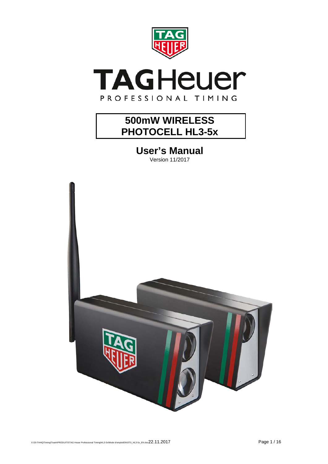

# **TAGHeuer** PROFESSIONAL TIMING

## **500mW WIRELESS PHOTOCELL HL3-5x**

**User's Manual**



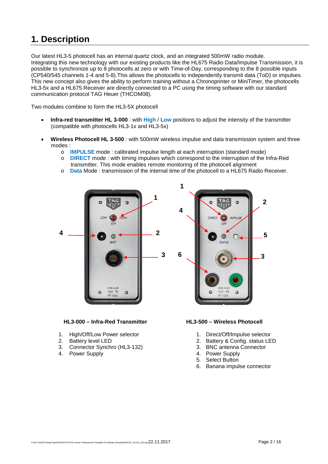### **1. Description**

Our latest HL3-5 photocell has an internal quartz clock, and an integrated 500mW radio module. Integrating this new technology with our existing products like the HL675 Radio Data/Impulse Transmission, it is possible to synchronize up to 8 photocells at zero or with Time-of-Day, corresponding to the 8 possible inputs (CP540/545 channels 1-4 and 5-8).This allows the photocells to independently transmit data (ToD) or impulses. This new concept also gives the ability to perform training without a Chronoprinter or MiniTimer, the photocells HL3-5x and a HL675 Receiver are directly connected to a PC using the timing software with our standard communication protocol TAG Heuer (THCOM08).

Two modules combine to form the HL3-5X photocell

- **Infra-red transmitter HL 3-000** : with **High** / **Low** positions to adjust the intensity of the transmitter (compatible with photocells HL3-1x and HL3-5x)
- **Wireless Photocell HL 3-500** : with 500mW wireless impulse and data transmission system and three modes :
	- o **IMPULSE** mode : calibrated impulse length at each interruption (standard mode)
	- o **DIRECT** mode : with timing impulses which correspond to the interruption of the Infra-Red transmitter. This mode enables remote monitoring of the photocell alignment
	- o **Data** Mode : transmission of the internal time of the photocell to a HL675 Radio Receiver.



**HL3-000 – Infra-Red Transmitter HL3-500 – Wireless Photocell**

- 1. High/Off/Low Power selector
- 2. Battery level LED
- 3. Connector Synchro (HL3-132)
- 4. Power Supply



- 1. Direct/Off/Impulse selector
- 2. Battery & Config. status LED
- 3. BNC antenna Connector
- 4. Power Supply
- 5. Select Button
- 6. Banana impulse connector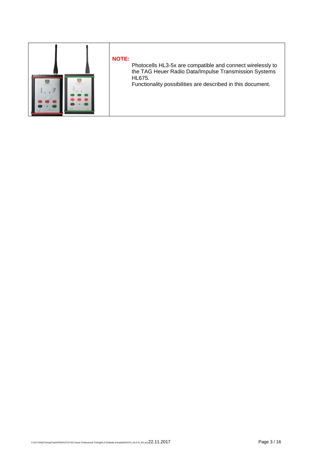

### **NOTE:**

Photocells HL3-5x are compatible and connect wirelessly to the TAG Heuer Radio Data/Impulse Transmission Systems HL675.

Functionality possibilities are described in this document.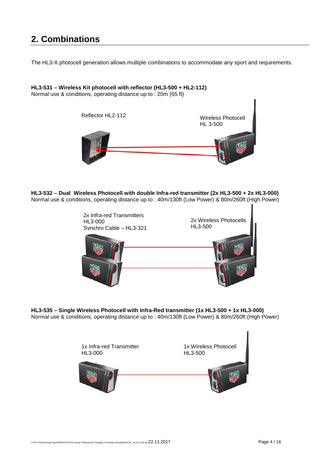### **2. Combinations**

The HL3-X photocell generation allows multiple combinations to accommodate any sport and requirements.

**HL3-531 – Wireless Kit photocell with reflector (HL3-500 + HL2-112)** Normal use & conditions, operating distance up to : 20m (65 ft) Reflector HL2-112 Wireless Photocell HL 3-500

**HL3-532 – Dual Wireless Photocell with double Infra-red transmitter (2x HL3-500 + 2x HL3-000)** Normal use & conditions, operating distance up to : 40m/130ft (Low Power) & 80m/260ft (High Power)



**HL3-535 – Single Wireless Photocell with Infra-Red transmitter (1x HL3-500 + 1x HL3-000)** Normal use & conditions, operating distance up to : 40m/130ft (Low Power) & 80m/260ft (High Power)

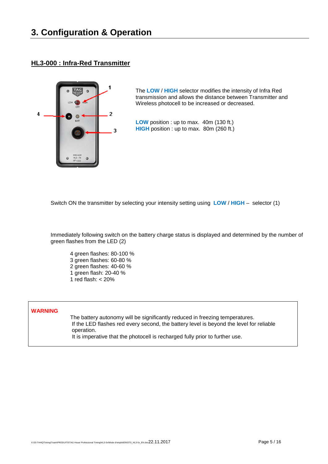#### **HL3-000 : Infra-Red Transmitter**



The **LOW** / **HIGH** selector modifies the intensity of Infra Red transmission and allows the distance between Transmitter and Wireless photocell to be increased or decreased.

**LOW** position : up to max. 40m (130 ft.) **HIGH** position : up to max. 80m (260 ft.)

Switch ON the transmitter by selecting your intensity setting using **LOW** / **HIGH** – selector (1)

Immediately following switch on the battery charge status is displayed and determined by the number of green flashes from the LED (2)

4 green flashes: 80-100 % 3 green flashes: 60-80 % 2 green flashes: 40-60 % 1 green flash: 20-40 % 1 red flash: < 20%

#### **WARNING**

The battery autonomy will be significantly reduced in freezing temperatures. If the LED flashes red every second, the battery level is beyond the level for reliable operation. It is imperative that the photocell is recharged fully prior to further use.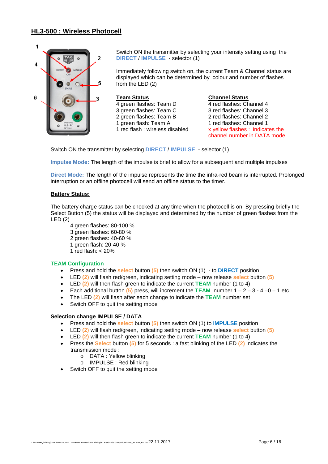#### **HL3-500 : Wireless Photocell**



Switch ON the transmitter by selecting your intensity setting using the **DIRECT** / **IMPULSE** - selector (1)

Immediately following switch on, the current Team & Channel status are displayed which can be determined by colour and number of flashes from the LED (2)

#### **Team Status** 4 green flashes: Team D 3 green flashes: Team C 2 green flashes: Team B 1 green flash: Team A 1 red flash : wireless disabled

**Channel Status** 4 red flashes: Channel 4 3 red flashes: Channel 3 2 red flashes: Channel 2 1 red flashes: Channel 1 x yellow flashes : indicates the channel number in DATA mode

Switch ON the transmitter by selecting **DIRECT** / **IMPULSE** - selector (1)

**Impulse Mode:** The length of the impulse is brief to allow for a subsequent and multiple impulses

**Direct Mode:** The length of the impulse represents the time the infra-red beam is interrupted. Prolonged interruption or an offline photocell will send an offline status to the timer.

#### **Battery Status:**

The battery charge status can be checked at any time when the photocell is on. By pressing briefly the Select Button (5) the status will be displayed and determined by the number of green flashes from the LED (2)

- 4 green flashes: 80-100 %
- 3 green flashes: 60-80 %
- 2 green flashes: 40-60 %
- 1 green flash: 20-40 %
- 1 red flash: < 20%

#### **TEAM Configuration**

- Press and hold the **select** button **(5)** then switch ON (1) to **DIRECT** position
- LED **(2)** will flash red/green, indicating setting mode now release **select** button **(5)**
- LED **(2)** will then flash green to indicate the current **TEAM** number (1 to 4)
- Each additional button  $(5)$  press, will increment the TEAM number  $1 2 3 4 0 1$  etc.
- The LED **(2)** will flash after each change to indicate the **TEAM** number set
- Switch OFF to quit the setting mode

#### **Selection change IMPULSE / DATA**

- Press and hold the **select** button **(5)** then switch ON (1) to **IMPULSE** position
- LED **(2)** will flash red/green, indicating setting mode now release **select** button **(5)**
- LED **(2)** will then flash green to indicate the current **TEAM** number (1 to 4)
- Press the **Select** button **(5)** for 5 seconds : a fast blinking of the LED **(2)** indicates the transmission mode :
	- o DATA : Yellow blinking
	- o IMPULSE : Red blinking
- Switch OFF to quit the setting mode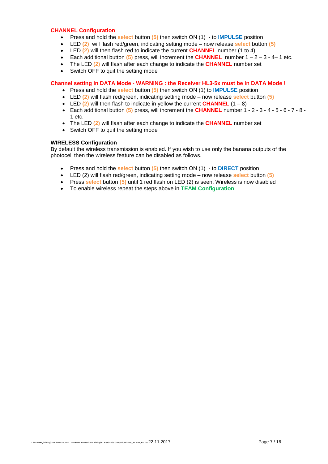#### **CHANNEL Configuration**

- Press and hold the **select** button **(5)** then switch ON (1) to **IMPULSE** position
- LED **(2)** will flash red/green, indicating setting mode now release **select** button **(5)**
- LED **(2)** will then flash red to indicate the current **CHANNEL** number (1 to 4)
- Each additional button  $(5)$  press, will increment the **CHANNEL** number  $1 2 3 4 1$  etc.
- The LED **(2)** will flash after each change to indicate the **CHANNEL** number set
- Switch OFF to quit the setting mode

#### **Channel setting in DATA Mode - WARNING : the Receiver HL3-5x must be in DATA Mode !**

- Press and hold the **select** button **(5)** then switch ON (1) to **IMPULSE** position
- LED **(2)** will flash red/green, indicating setting mode now release **select** button **(5)**
- LED  $(2)$  will then flash to indicate in yellow the current **CHANNEL**  $(1 8)$
- Each additional button **(5)** press, will increment the **CHANNEL** number 1 2 3 4 5 6 7 8 1 etc.
- The LED **(2)** will flash after each change to indicate the **CHANNEL** number set
- Switch OFF to quit the setting mode

#### **WIRELESS Configuration**

By default the wireless transmission is enabled. If you wish to use only the banana outputs of the photocell then the wireless feature can be disabled as follows.

- Press and hold the **select** button **(5)** then switch ON (1) to **DIRECT** position
- LED (2) will flash red/green, indicating setting mode now release **select** button **(5)**
- Press **select** button **(5)** until 1 red flash on LED (2) is seen. Wireless is now disabled
- To enable wireless repeat the steps above in **TEAM Configuration**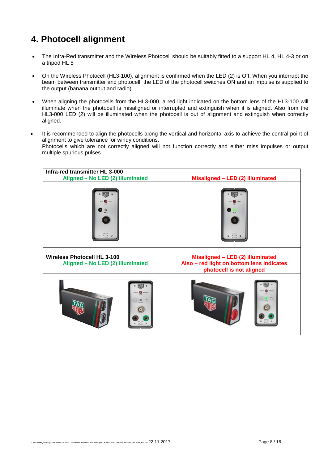### **4. Photocell alignment**

- The Infra-Red transmitter and the Wireless Photocell should be suitably fitted to a support HL 4, HL 4-3 or on a tripod HL 5
- On the Wireless Photocell (HL3-100), alignment is confirmed when the LED (2) is Off. When you interrupt the beam between transmitter and photocell, the LED of the photocell switches ON and an impulse is supplied to the output (banana output and radio).
- When aligning the photocells from the HL3-000, a red light indicated on the bottom lens of the HL3-100 will illuminate when the photocell is misaligned or interrupted and extinguish when it is aligned. Also from the HL3-000 LED (2) will be illuminated when the photocell is out of alignment and extinguish when correctly aligned.
- It is recommended to align the photocells along the vertical and horizontal axis to achieve the central point of alignment to give tolerance for windy conditions. Photocells which are not correctly aligned will not function correctly and either miss impulses or output multiple spurious pulses.

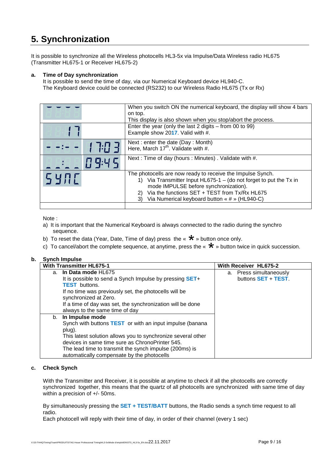### **5. Synchronization**

It is possible to synchronize all the Wireless photocells HL3-5x via Impulse/Data Wireless radio HL675 (Transmitter HL675-1 or Receiver HL675-2)

#### **a. Time of Day synchronization**

It is possible to send the time of day, via our Numerical Keyboard device HL940-C. The Keyboard device could be connected (RS232) to our Wireless Radio HL675 (Tx or Rx)

|      |           | When you switch ON the numerical keyboard, the display will show 4 bars<br>on top.<br>This display is also shown when you stop/abort the process.<br>Enter the year (only the last 2 digits $-$ from 00 to 99)                                                                       |
|------|-----------|--------------------------------------------------------------------------------------------------------------------------------------------------------------------------------------------------------------------------------------------------------------------------------------|
|      |           | Example show 2017. Valid with #.                                                                                                                                                                                                                                                     |
|      | 7:77 3    | Next : enter the date (Day : Month)<br>Here, March $17^{\text{th}}$ . Validate with #.                                                                                                                                                                                               |
|      | $H$ 9:4 5 | Next: Time of day (hours: Minutes). Validate with #.                                                                                                                                                                                                                                 |
| SYNE |           | The photocells are now ready to receive the Impulse Synch.<br>1) Via Transmitter Input HL675-1 - (do not forget to put the Tx in<br>mode IMPULSE before synchronization).<br>Via the functions SET + TEST from Tx/Rx HL675<br>2)<br>3) Via Numerical keyboard button « # » (HL940-C) |
|      |           |                                                                                                                                                                                                                                                                                      |

Note :

- a) It is important that the Numerical Keyboard is always connected to the radio during the synchro sequence.
- b) To reset the data (Year, Date, Time of day) press the «  $\star$  » button once only.
- c) To cancel/abort the complete sequence, at anytime, press the «  $\star$  » button twice in quick succession.

#### **b. Synch Impulse**

| <b>With Transmitter HL675-1</b> |                                                                 |  | <b>With Receiver HL675-2</b> |  |
|---------------------------------|-----------------------------------------------------------------|--|------------------------------|--|
|                                 | a. In Data mode HL675                                           |  | a. Press simultaneously      |  |
|                                 | It is possible to send a Synch Impulse by pressing <b>SET+</b>  |  | buttons SET + TEST.          |  |
|                                 | <b>TEST</b> buttons.                                            |  |                              |  |
|                                 | If no time was previously set, the photocells will be           |  |                              |  |
|                                 | synchronized at Zero.                                           |  |                              |  |
|                                 | If a time of day was set, the synchronization will be done      |  |                              |  |
|                                 | always to the same time of day                                  |  |                              |  |
|                                 | b. In Impulse mode                                              |  |                              |  |
|                                 | Synch with buttons <b>TEST</b> or with an input impulse (banana |  |                              |  |
|                                 | plug).                                                          |  |                              |  |
|                                 | This latest solution allows you to synchronize several other    |  |                              |  |
|                                 | devices in same time sure as ChronoPrinter 545.                 |  |                              |  |
|                                 | The lead time to transmit the synch impulse (200ms) is          |  |                              |  |
|                                 | automatically compensate by the photocells                      |  |                              |  |

#### **c. Check Synch**

With the Transmitter and Receiver, it is possible at anytime to check if all the photocells are correctly synchronized together, this means that the quartz of all photocells are synchronized with same time of day within a precision of +/- 50ms.

By simultaneously pressing the **SET + TEST/BATT** buttons, the Radio sends a synch time request to all radio.

Each photocell will reply with their time of day, in order of their channel (every 1 sec)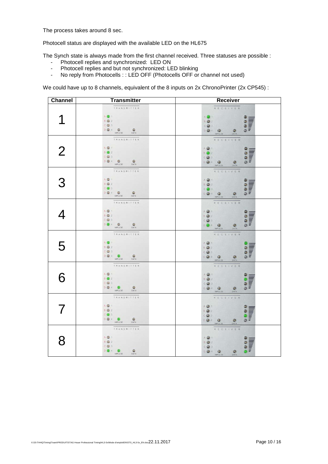The process takes around 8 sec.

Photocell status are displayed with the available LED on the HL675

The Synch state is always made from the first channel received. Three statuses are possible :

- Photocell replies and synchronized: LED ON
- Photocell replies and but not synchronized: LED blinking<br>- No reply from Photocells : : LED OFF (Photocells OFF or
- No reply from Photocells : : LED OFF (Photocells OFF or channel not used)

We could have up to 8 channels, equivalent of the 8 inputs on 2x ChronoPrinter (2x CP545) :

| Channel        | <b>Transmitter</b>                                                                                                                                  | <b>Receiver</b>                                                                                                                                                                                                                                                                                                                                                                                                                                                                              |
|----------------|-----------------------------------------------------------------------------------------------------------------------------------------------------|----------------------------------------------------------------------------------------------------------------------------------------------------------------------------------------------------------------------------------------------------------------------------------------------------------------------------------------------------------------------------------------------------------------------------------------------------------------------------------------------|
|                | TRANSMITTER<br>AO1<br><b>B C</b> 2<br>$C = 3$<br><b>DO4 O</b><br>$\circ$<br><b>MPULSE</b><br>DATA                                                   | RECEIVER<br>AO <sup>T</sup><br>e e e e<br>e e e e<br><b>BO2</b><br>CO3<br>DO4 O <sub>MPUSE</sub>                                                                                                                                                                                                                                                                                                                                                                                             |
| $\overline{2}$ | TRANSMITTER<br>A C T<br><b>B 3</b> 2<br>$C \bullet 3$<br><br>MPULSE DATA                                                                            | RECEIVER<br>$A \bigoplus 1$<br>e e e e<br>Illillini<br><b>BO2</b><br>$C \bigoplus 3$<br>$\begin{picture}(20,20) \put(0,0){\line(1,0){10}} \put(15,0){\line(1,0){10}} \put(15,0){\line(1,0){10}} \put(15,0){\line(1,0){10}} \put(15,0){\line(1,0){10}} \put(15,0){\line(1,0){10}} \put(15,0){\line(1,0){10}} \put(15,0){\line(1,0){10}} \put(15,0){\line(1,0){10}} \put(15,0){\line(1,0){10}} \put(15,0){\line(1,0){10}} \put(15,0){\line(1$<br>۰<br>DATA                                     |
| 3              | TRANSMITTER<br>AG1<br><b>BC2</b><br>$C \bullet 3$<br><b>DO4 O</b><br>$\circ$<br>MPULSE DATA                                                         | RECEIVER<br>AO <sub>1</sub><br>9999<br>$\begin{array}{c}\n\mathbf{B} \bullet 2 \\ \mathbf{C} \bullet 3\n\end{array}$<br>$\begin{picture}(20,20) \put(0,0){\line(1,0){10}} \put(15,0){\line(1,0){10}} \put(15,0){\line(1,0){10}} \put(15,0){\line(1,0){10}} \put(15,0){\line(1,0){10}} \put(15,0){\line(1,0){10}} \put(15,0){\line(1,0){10}} \put(15,0){\line(1,0){10}} \put(15,0){\line(1,0){10}} \put(15,0){\line(1,0){10}} \put(15,0){\line(1,0){10}} \put(15,0){\line(1$<br>۰<br>DATA     |
| 4              | TRANSMITTER<br>AG1<br><b>BG2</b><br>$C \oplus 3$<br>$D \bullet 4$ or $D = 4$ on $T_A$                                                               | a s<br>RECEIVER<br>$A \bigoplus 1$<br>e e e e<br>$\begin{array}{c} 8 \bullet 2 \\ 0 \bullet 3 \end{array}$<br>$\begin{picture}(20,20) \put(0,0){\line(1,0){15}} \put(15,0){\line(1,0){15}} \put(15,0){\line(1,0){15}} \put(15,0){\line(1,0){15}} \put(15,0){\line(1,0){15}} \put(15,0){\line(1,0){15}} \put(15,0){\line(1,0){15}} \put(15,0){\line(1,0){15}} \put(15,0){\line(1,0){15}} \put(15,0){\line(1,0){15}} \put(15,0){\line(1,0){15}} \put(15,0){\line(1$<br>$\frac{1}{\text{DATA}}$ |
| 5              | TRANSMITTER<br>AO <sub>1</sub><br><b>BG2</b><br>$C \oplus 3$<br>$D \bullet 4$ $\bullet$ $\bullet$ $\bullet$ $\bullet$ $\bullet$ $\bullet$ $\bullet$ | RECEIVER<br>$A \bigoplus 1$<br>$\begin{array}{c} 8 \bullet 2 \\ 0 \bullet 3 \end{array}$<br>DO 4 <b>D</b><br>MPULSE DATA                                                                                                                                                                                                                                                                                                                                                                     |
| 6              | TRANSMITTER<br>AG <sub>1</sub><br><b>B &amp; 2</b><br>$C \bullet 3$<br><b>DO 4 0</b><br>$\bullet$<br>IMPULSE DATA                                   | RECEIVER<br>$A \bigoplus 1$<br><b>BO2</b><br>$\circ \bullet$<br>0.04.0<br>$\mathcal{Q}_{\text{OATA}}$<br>MPULSE                                                                                                                                                                                                                                                                                                                                                                              |
| $\overline{7}$ | TRANSMITTER<br>AG1<br><b>BC2</b><br>$C \bullet 3$<br><b>DO4 O</b><br>$\circ$<br>MPULSE DATA                                                         | RECEIVER<br>AG1<br>a e e e<br>a e e e<br>$B \bullet 2$<br>$C \bigoplus$ 3<br>DATA                                                                                                                                                                                                                                                                                                                                                                                                            |
| 8              | TRANSMITTER<br>$A \bigoplus 1$<br><b>BG2</b><br>$C = 3$<br>D 3 4 6 DATA                                                                             | RECEIVER<br>A @ 1<br>illillin.<br>Ooo<br>$B$ $2$<br>$\circ \bullet$<br>$\begin{picture}(20,10) \put(0,0){\line(1,0){10}} \put(15,0){\line(1,0){10}} \put(15,0){\line(1,0){10}} \put(15,0){\line(1,0){10}} \put(15,0){\line(1,0){10}} \put(15,0){\line(1,0){10}} \put(15,0){\line(1,0){10}} \put(15,0){\line(1,0){10}} \put(15,0){\line(1,0){10}} \put(15,0){\line(1,0){10}} \put(15,0){\line(1,0){10}} \put(15,0){\line(1$                                                                   |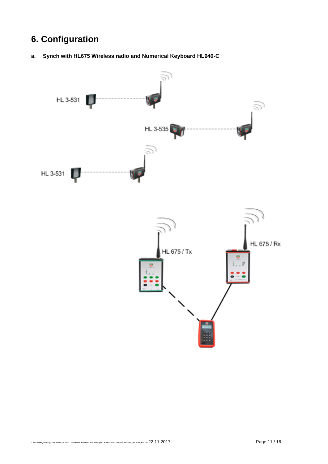### **6. Configuration**



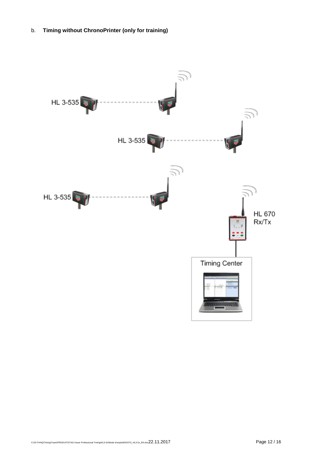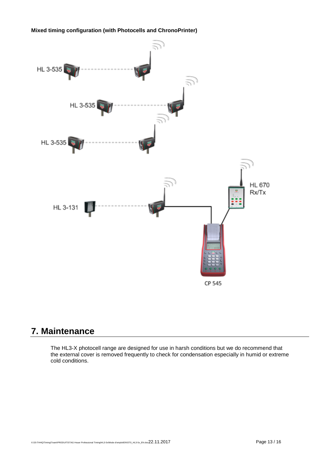**Mixed timing configuration (with Photocells and ChronoPrinter)** 



### **7. Maintenance**

The HL3-X photocell range are designed for use in harsh conditions but we do recommend that the external cover is removed frequently to check for condensation especially in humid or extreme cold conditions.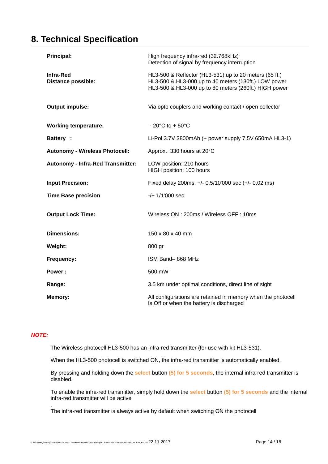### **8. Technical Specification**

| <b>Principal:</b>                        | High frequency infra-red (32.768kHz)<br>Detection of signal by frequency interruption                                                                                   |
|------------------------------------------|-------------------------------------------------------------------------------------------------------------------------------------------------------------------------|
| Infra-Red<br><b>Distance possible:</b>   | HL3-500 & Reflector (HL3-531) up to 20 meters (65 ft.)<br>HL3-500 & HL3-000 up to 40 meters (130ft.) LOW power<br>HL3-500 & HL3-000 up to 80 meters (260ft.) HIGH power |
| <b>Output impulse:</b>                   | Via opto couplers and working contact / open collector                                                                                                                  |
| <b>Working temperature:</b>              | $-20^{\circ}$ C to $+50^{\circ}$ C                                                                                                                                      |
| <b>Battery:</b>                          | Li-Pol 3.7V 3800mAh (+ power supply 7.5V 650mA HL3-1)                                                                                                                   |
| <b>Autonomy - Wireless Photocell:</b>    | Approx. 330 hours at 20°C                                                                                                                                               |
| <b>Autonomy - Infra-Red Transmitter:</b> | LOW position: 210 hours<br>HIGH position: 100 hours                                                                                                                     |
| <b>Input Precision:</b>                  | Fixed delay 200ms, +/- 0.5/10'000 sec (+/- 0.02 ms)                                                                                                                     |
| <b>Time Base precision</b>               | $-/- 1/1'000$ sec                                                                                                                                                       |
| <b>Output Lock Time:</b>                 | Wireless ON: 200ms / Wireless OFF: 10ms                                                                                                                                 |
| <b>Dimensions:</b>                       | $150 \times 80 \times 40$ mm                                                                                                                                            |
| Weight:                                  | 800 gr                                                                                                                                                                  |
| Frequency:                               | ISM Band-868 MHz                                                                                                                                                        |
| Power:                                   | 500 mW                                                                                                                                                                  |
| Range:                                   | 3.5 km under optimal conditions, direct line of sight                                                                                                                   |
| Memory:                                  | All configurations are retained in memory when the photocell<br>Is Off or when the battery is discharged                                                                |

#### *NOTE:*

.

The Wireless photocell HL3-500 has an infra-red transmitter (for use with kit HL3-531).

When the HL3-500 photocell is switched ON, the infra-red transmitter is automatically enabled.

By pressing and holding down the **select** button **(5) for 5 seconds**, the internal infra-red transmitter is disabled.

To enable the infra-red transmitter, simply hold down the **select** button **(5) for 5 seconds** and the internal infra-red transmitter will be active

The infra-red transmitter is always active by default when switching ON the photocell